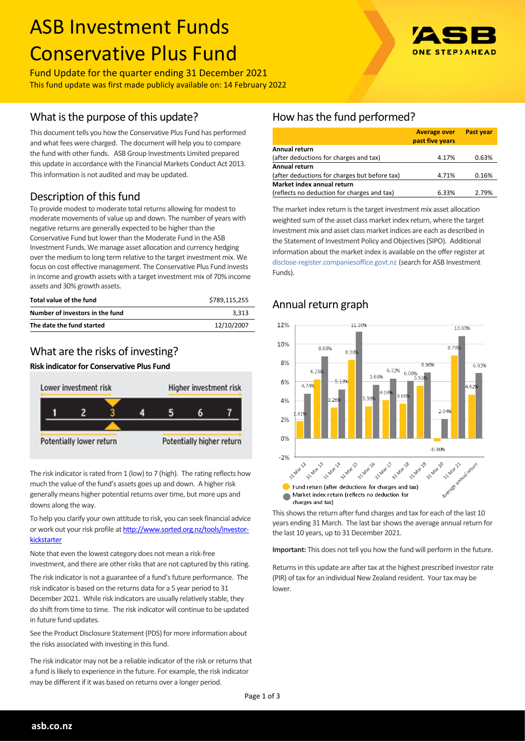# ASB Investment Funds Conservative Plus Fund

Fund Update for the quarter ending 31 December 2021 This fund update was first made publicly available on: 14 February 2022

## What is the purpose of this update?

This document tells you how the Conservative Plus Fund has performed and what fees were charged. The document will help you to compare the fund with other funds. ASB Group Investments Limited prepared this update in accordance with the Financial Markets Conduct Act 2013. This information is not audited and may be updated.

## Description of this fund

To provide modest to moderate total returns allowing for modest to moderate movements of value up and down. The number of years with negative returns are generally expected to be higher than the Conservative Fund but lower than the Moderate Fund in the ASB Investment Funds. We manage asset allocation and currency hedging over the medium to long term relative to the target investment mix. We focus on cost effective management. The Conservative Plus Fund invests in income and growth assets with a target investment mix of 70% income assets and 30% growth assets.

| Total value of the fund         | \$789.115.255 |
|---------------------------------|---------------|
| Number of investors in the fund | 3.313         |
| The date the fund started       | 12/10/2007    |

## What are the risks of investing?

#### **Risk indicator for Conservative Plus Fund**



The risk indicator is rated from 1 (low) to 7 (high). The rating reflects how much the value of the fund's assets goes up and down. A higher risk generally means higher potential returns over time, but more ups and downs along the way.

To help you clarify your own attitude to risk, you can seek financial advice or work out your risk profile at [http://www.sorted.org.nz/tools/investor](http://www.sorted.org.nz/tools/investor-kickstarter)[kickstarter](http://www.sorted.org.nz/tools/investor-kickstarter)

Note that even the lowest category does not mean a risk-free investment, and there are other risks that are not captured by this rating.

The risk indicator is not a guarantee of a fund's future performance. The risk indicator is based on the returns data for a 5 year period to 31 December 2021. While risk indicators are usually relatively stable, they do shift from time to time. The risk indicator will continue to be updated in future fund updates.

See the Product Disclosure Statement (PDS) for more information about the risks associated with investing in this fund.

The risk indicator may not be a reliable indicator of the risk or returns that a fund is likely to experience in the future. For example, the risk indicator may be different if it was based on returns over a longer period.

## How has the fund performed?

|                                               | <b>Average over</b><br>past five years | <b>Past year</b> |
|-----------------------------------------------|----------------------------------------|------------------|
| Annual return                                 |                                        |                  |
| (after deductions for charges and tax)        | 4.17%                                  | 0.63%            |
| Annual return                                 |                                        |                  |
| (after deductions for charges but before tax) | 4.71%                                  | 0.16%            |
| Market index annual return                    |                                        |                  |
| (reflects no deduction for charges and tax)   | 6.33%                                  | 2.79%            |

The market index return is the target investment mix asset allocation weighted sum of the asset class market index return, where the target investment mix and asset class market indices are each as described in the Statement of Investment Policy and Objectives (SIPO). Additional information about the market index is available on the offer register at [disclose-register.companiesoffice.govt.nz](http://www.business.govt.nz/disclose/) (search for ASB Investment Funds).

#### 12%  $11.30%$  $10.8296$ 10% 8.68% 8.789  $8.30$ 8%  $6.96%$  $6.0106$ 6.32%  $6.25$ 5.68% 5.19% 6%  $4.740$ 4%  $2%$  $0%$  $-0.30%$  $-2%$ 55 - 10/25 1/10 **6** April 1 31 Mary8 31-Mar-19 31 Mar 12 31 Mar 14 A Mary's **Slimar2** A Mar 13  $\gamma$ 31-Mar Fund return (after deductions for charges and tax) Market index return (reflects no deduction for charges and tax)

Annual return graph

This shows the return after fund charges and tax for each of the last 10 years ending 31 March. The last bar shows the average annual return for the last 10 years, up to 31 December 2021.

**Important:** This does not tell you how the fund will perform in the future.

Returns in this update are after tax at the highest prescribed investor rate (PIR) of tax for an individual New Zealand resident. Your tax may be lower.

**asb.co.nz**

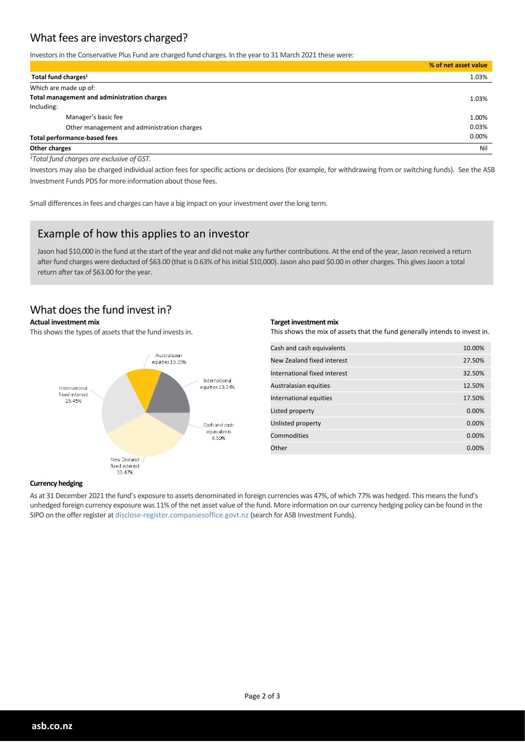## What fees are investors charged?

Investors in the Conservative Plus Fund are charged fund charges. In the year to 31 March 2021 these were:

|                                             | % of net asset value |
|---------------------------------------------|----------------------|
| Total fund charges <sup>1</sup>             | 1.03%                |
| Which are made up of:                       |                      |
| Total management and administration charges | 1.03%                |
| Including:                                  |                      |
| Manager's basic fee                         | 1.00%                |
| Other management and administration charges | 0.03%                |
| <b>Total performance-based fees</b>         | 0.00%                |
| Other charges                               | Nil                  |

*<sup>1</sup>Total fund charges are exclusive of GST.*

Investors may also be charged individual action fees for specific actions or decisions (for example, for withdrawing from or switching funds). See the ASB Investment Funds PDS for more information about those fees.

Small differences in fees and charges can have a big impact on your investment over the long term.

## Example of how this applies to an investor

Jason had \$10,000 in the fund at the start of the year and did not make any further contributions. At the end of the year, Jason received a return after fund charges were deducted of \$63.00 (that is 0.63% of his initial \$10,000). Jason also paid \$0.00 in other charges. This gives Jason a total return after tax of \$63.00 for the year.

#### What does the fund invest in?

#### **Actual investment mix**

This shows the types of assets that the fund invests in.



#### **Target investment mix**

This shows the mix of assets that the fund generally intends to invest in.

| Cash and cash equivalents    | 10.00% |
|------------------------------|--------|
| New Zealand fixed interest   | 27.50% |
| International fixed interest | 32.50% |
| Australasian equities        | 12.50% |
| International equities       | 17.50% |
| Listed property              | 0.00%  |
| Unlisted property            | 0.00%  |
| Commodities                  | 0.00%  |
| Other                        | 0.00%  |

#### **Currency hedging**

As at 31 December 2021 the fund's exposure to assets denominated in foreign currencies was 47%, of which 77% was hedged. This means the fund's unhedged foreign currency exposure was 11% of the net asset value of the fund. More information on our currency hedging policy can be found in the SIPO on the offer register at disclose-register.companiesoffice.govt.nz (search for ASB Investment Funds).